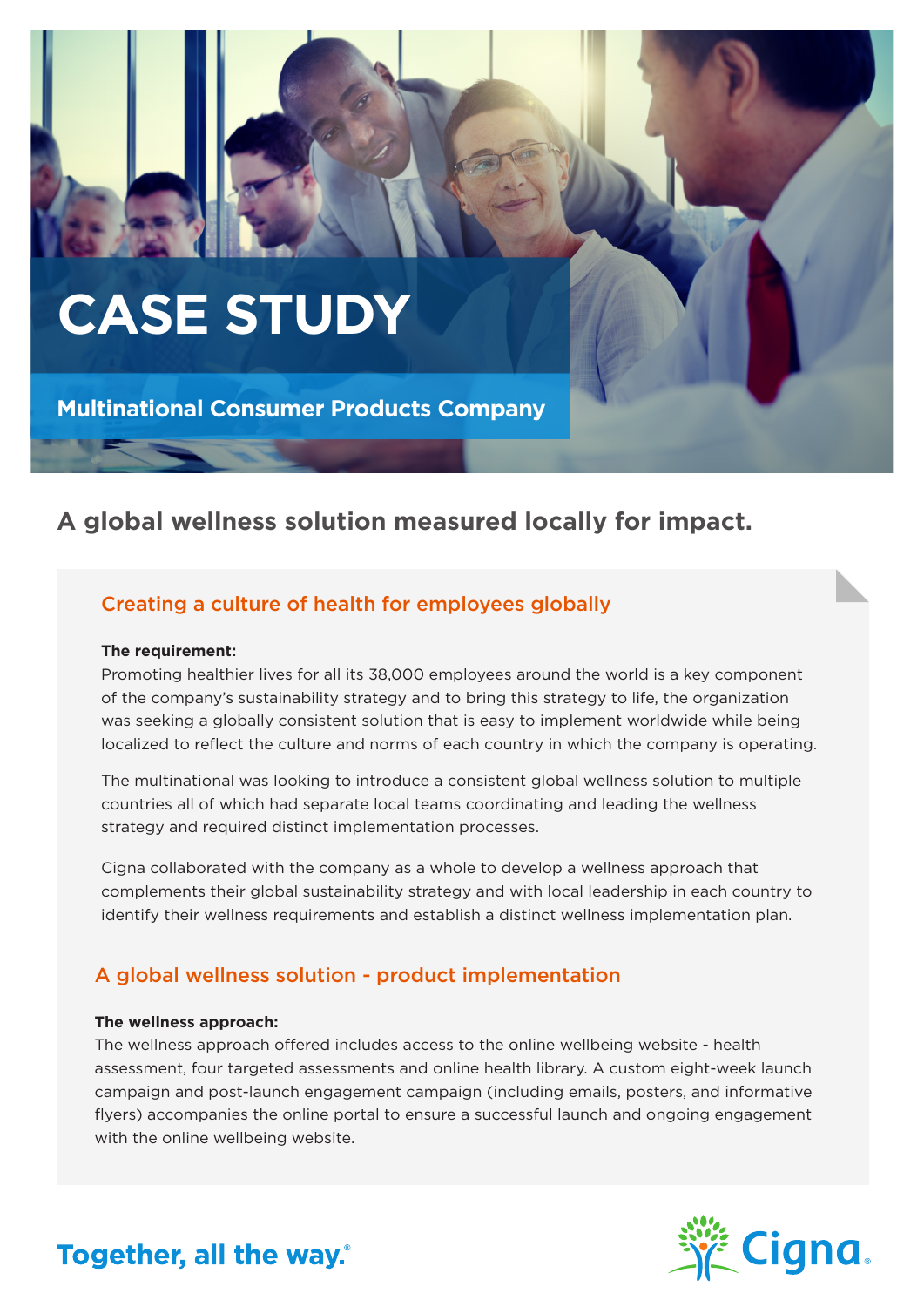# **CASE STUDY**

**Multinational Consumer Products Company**

## **A global wellness solution measured locally for impact.**

## Creating a culture of health for employees globally

#### **The requirement:**

Promoting healthier lives for all its 38,000 employees around the world is a key component of the company's sustainability strategy and to bring this strategy to life, the organization was seeking a globally consistent solution that is easy to implement worldwide while being localized to reflect the culture and norms of each country in which the company is operating.

The multinational was looking to introduce a consistent global wellness solution to multiple countries all of which had separate local teams coordinating and leading the wellness strategy and required distinct implementation processes.

Cigna collaborated with the company as a whole to develop a wellness approach that complements their global sustainability strategy and with local leadership in each country to identify their wellness requirements and establish a distinct wellness implementation plan.

#### A global wellness solution - product implementation

#### **The wellness approach:**

The wellness approach offered includes access to the online wellbeing website - health assessment, four targeted assessments and online health library. A custom eight-week launch campaign and post-launch engagement campaign (including emails, posters, and informative flyers) accompanies the online portal to ensure a successful launch and ongoing engagement with the online wellbeing website.



# Together, all the way.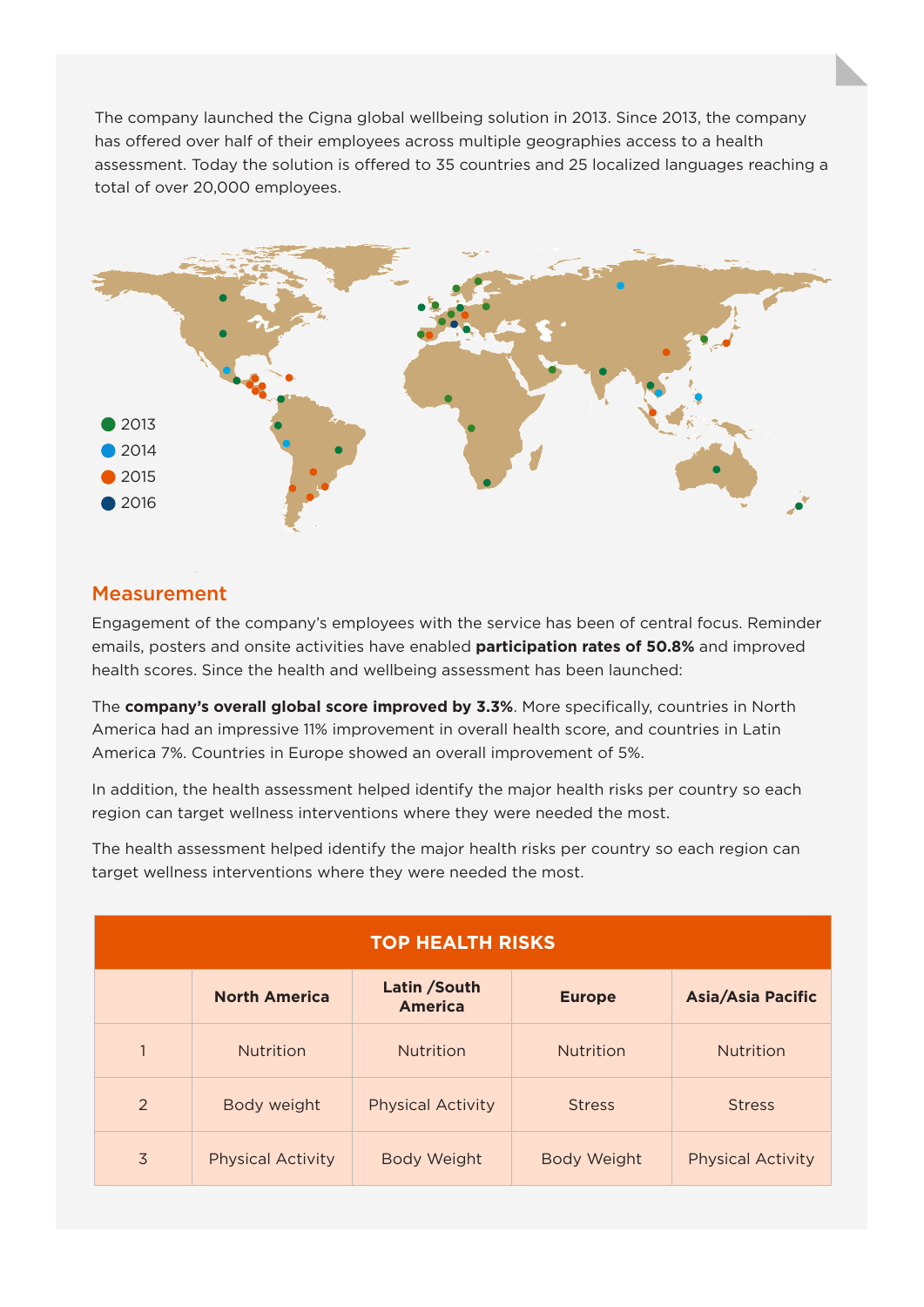The company launched the Cigna global wellbeing solution in 2013. Since 2013, the company has offered over half of their employees across multiple geographies access to a health assessment. Today the solution is offered to 35 countries and 25 localized languages reaching a total of over 20,000 employees.



#### **Measurement**

Engagement of the company's employees with the service has been of central focus. Reminder emails, posters and onsite activities have enabled **participation rates of 50.8%** and improved health scores. Since the health and wellbeing assessment has been launched:

The **company's overall global score improved by 3.3%**. More specifically, countries in North America had an impressive 11% improvement in overall health score, and countries in Latin America 7%. Countries in Europe showed an overall improvement of 5%.

In addition, the health assessment helped identify the major health risks per country so each region can target wellness interventions where they were needed the most.

The health assessment helped identify the major health risks per country so each region can target wellness interventions where they were needed the most.

| <b>TOP HEALTH RISKS</b> |                          |                                |                    |                          |
|-------------------------|--------------------------|--------------------------------|--------------------|--------------------------|
|                         | <b>North America</b>     | Latin /South<br><b>America</b> | <b>Europe</b>      | <b>Asia/Asia Pacific</b> |
| $\mathbf{1}$            | <b>Nutrition</b>         | <b>Nutrition</b>               | <b>Nutrition</b>   | <b>Nutrition</b>         |
| $\mathcal{P}$           | Body weight              | <b>Physical Activity</b>       | <b>Stress</b>      | <b>Stress</b>            |
| 3                       | <b>Physical Activity</b> | <b>Body Weight</b>             | <b>Body Weight</b> | <b>Physical Activity</b> |